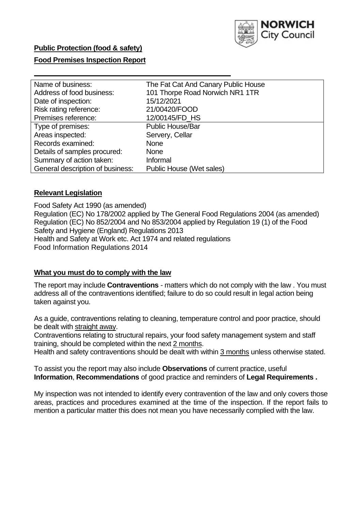

### **Public Protection (food & safety)**

## **Food Premises Inspection Report**

| Name of business:                | The Fat Cat And Canary Public House |
|----------------------------------|-------------------------------------|
| Address of food business:        | 101 Thorpe Road Norwich NR1 1TR     |
| Date of inspection:              | 15/12/2021                          |
| Risk rating reference:           | 21/00420/FOOD                       |
| Premises reference:              | 12/00145/FD HS                      |
| Type of premises:                | <b>Public House/Bar</b>             |
| Areas inspected:                 | Servery, Cellar                     |
| Records examined:                | <b>None</b>                         |
| Details of samples procured:     | <b>None</b>                         |
| Summary of action taken:         | Informal                            |
| General description of business: | Public House (Wet sales)            |

### **Relevant Legislation**

 Food Safety Act 1990 (as amended) Regulation (EC) No 178/2002 applied by The General Food Regulations 2004 (as amended) Regulation (EC) No 852/2004 and No 853/2004 applied by Regulation 19 (1) of the Food Safety and Hygiene (England) Regulations 2013 Health and Safety at Work etc. Act 1974 and related regulations Food Information Regulations 2014

#### **What you must do to comply with the law**

 The report may include **Contraventions** - matters which do not comply with the law . You must address all of the contraventions identified; failure to do so could result in legal action being taken against you.

 As a guide, contraventions relating to cleaning, temperature control and poor practice, should be dealt with straight away.

 Contraventions relating to structural repairs, your food safety management system and staff training, should be completed within the next 2 months.

Health and safety contraventions should be dealt with within 3 months unless otherwise stated.

 To assist you the report may also include **Observations** of current practice, useful **Information**, **Recommendations** of good practice and reminders of **Legal Requirements .** 

 My inspection was not intended to identify every contravention of the law and only covers those areas, practices and procedures examined at the time of the inspection. If the report fails to mention a particular matter this does not mean you have necessarily complied with the law.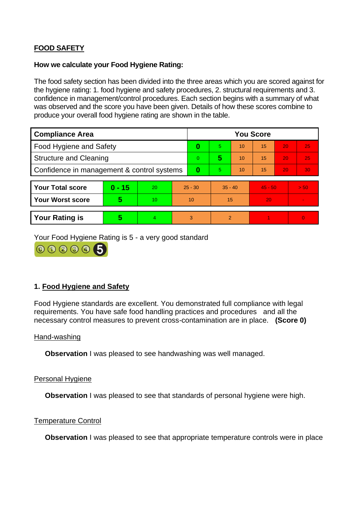# **FOOD SAFETY**

### **How we calculate your Food Hygiene Rating:**

 The food safety section has been divided into the three areas which you are scored against for the hygiene rating: 1. food hygiene and safety procedures, 2. structural requirements and 3. confidence in management/control procedures. Each section begins with a summary of what was observed and the score you have been given. Details of how these scores combine to produce your overall food hygiene rating are shown in the table.

| <b>Compliance Area</b>                     |          |    |           | <b>You Score</b> |                |    |           |    |                |  |  |
|--------------------------------------------|----------|----|-----------|------------------|----------------|----|-----------|----|----------------|--|--|
| Food Hygiene and Safety                    |          |    | 0         | 5.               | 10             | 15 | 20        | 25 |                |  |  |
| <b>Structure and Cleaning</b>              |          |    | $\Omega$  | 5                | 10             | 15 | 20        | 25 |                |  |  |
| Confidence in management & control systems |          |    | 0         | 5                | 10             | 15 | 20        | 30 |                |  |  |
|                                            |          |    |           |                  |                |    |           |    |                |  |  |
| <b>Your Total score</b>                    | $0 - 15$ | 20 | $25 - 30$ |                  | $35 - 40$      |    | $45 - 50$ |    | > 50           |  |  |
| Your Worst score                           | 5        | 10 | 10        |                  | 15             |    | 20        |    | $\blacksquare$ |  |  |
|                                            |          |    |           |                  |                |    |           |    |                |  |  |
| <b>Your Rating is</b>                      | 5        | 4  | 3         |                  | $\overline{2}$ |    |           |    | $\Omega$       |  |  |

Your Food Hygiene Rating is 5 - a very good standard



# **1. Food Hygiene and Safety**

 requirements. You have safe food handling practices and procedures and all the Food Hygiene standards are excellent. You demonstrated full compliance with legal necessary control measures to prevent cross-contamination are in place. **(Score 0)** 

#### Hand-washing

**Observation** I was pleased to see handwashing was well managed.

#### Personal Hygiene

**Observation** I was pleased to see that standards of personal hygiene were high.

#### Temperature Control

**Observation** I was pleased to see that appropriate temperature controls were in place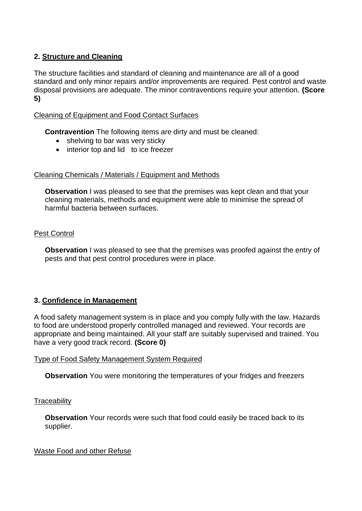# **2. Structure and Cleaning**

 The structure facilities and standard of cleaning and maintenance are all of a good standard and only minor repairs and/or improvements are required. Pest control and waste disposal provisions are adequate. The minor contraventions require your attention. **(Score 5)** 

## Cleaning of Equipment and Food Contact Surfaces

**Contravention** The following items are dirty and must be cleaned:

- shelving to bar was very sticky
- interior top and lid to ice freezer

### Cleaning Chemicals / Materials / Equipment and Methods

**Observation** I was pleased to see that the premises was kept clean and that your cleaning materials, methods and equipment were able to minimise the spread of harmful bacteria between surfaces.

## Pest Control

**Observation** I was pleased to see that the premises was proofed against the entry of pests and that pest control procedures were in place.

# **3. Confidence in Management**

 appropriate and being maintained. All your staff are suitably supervised and trained. You A food safety management system is in place and you comply fully with the law. Hazards to food are understood properly controlled managed and reviewed. Your records are have a very good track record. **(Score 0)** 

### Type of Food Safety Management System Required

**Observation** You were monitoring the temperatures of your fridges and freezers

### **Traceability**

**Observation** Your records were such that food could easily be traced back to its supplier.

### Waste Food and other Refuse